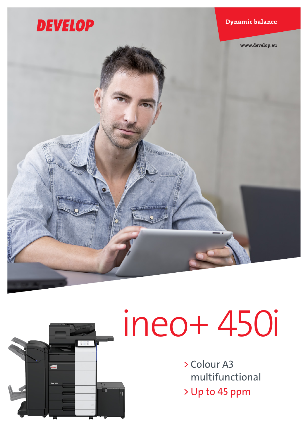



# ineo+ 450i

> Colour A3 multifunctional > Up to 45 ppm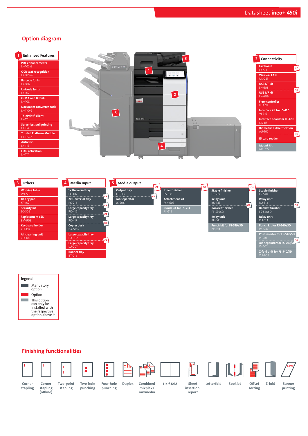## Option diagram

| <b>Enhanced Features</b>                   | -3             | Connectivity                                            |
|--------------------------------------------|----------------|---------------------------------------------------------|
| <b>PDF</b> enhancements<br>LK-102v3        | 110.100        | <b>Fax board</b><br>$x^2$                               |
| <b>OCR text recognition</b><br>LK-105v4    | $0 = 0$        | FK-514<br><b>Wireless LAN</b>                           |
| <b>Barcode fonts</b><br>LK-106             |                | <b>UK-221</b><br>USB I/F kit                            |
| <b>Unicode fonts</b><br>LK-107             | 2              | EK-608<br>$\overline{OR}$<br>USB I/F kit                |
| <b>OCR A and B fonts</b><br>$LK-108$       | <b>DEVELOP</b> | EK-609<br><b>Fiery controller</b>                       |
| <b>Document converter pack</b><br>LK-110v2 | $\sqrt{5}$     | $IC-420$<br>Interface kit for IC-420                    |
| ThinPrint <sup>®</sup> client<br>LK-111    | ineo* 4501     | $VI-516$<br>Interface board for IC-420<br><b>UK-115</b> |
| <b>Serverless pull printing</b><br>LK-114  | $\sim$         | <b>Biometric authentication</b><br>AU-102               |
| <b>Trusted Platform Module</b><br>LK-115v2 |                | <b>ID</b> card reader                                   |
| <b>Antivirus</b><br>LK-116                 | 4              | <b>Mount kit</b><br>MK-735                              |
| <b>FOIP activation</b><br>LK-117           |                |                                                         |





# Finishing functionalities





Corner stapling (offline)





 $\bullet\bullet\bullet\bullet$ 













stapling

Two-point stapling

Two-hole punching Corner Corner Two-point Two-hole Four-hole Duplex Combined Half-fold

Four-hole punching Duplex Combined

mixplex/ mixmedia

insertion, report

Offset Z-fold sorting

Banner printing

Sheet Letterfold Booklet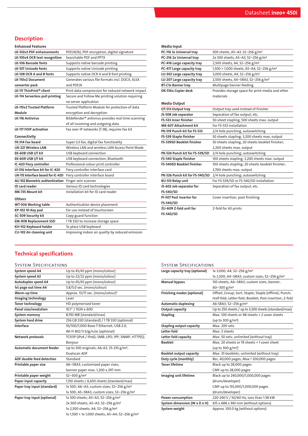# **Description**

### Enhanced Features

| <b>LK-102v3 PDF enhancements</b>       | PDF/A(1b), PDF encryption, digital signature                   |
|----------------------------------------|----------------------------------------------------------------|
| LK-105v4 OCR text recognition          | Searchable PDF and PPTX                                        |
| <b>LK-106 Barcode fonts</b>            | Supports native barcode printing                               |
| <b>LK-107 Unicode fonts</b>            | Supports native Unicode printing                               |
| LK-108 OCR A and B fonts               | Supports native OCR A and B font printing                      |
| LK-110v2 Document                      | Generates various file formats incl. DOCX, XLSX                |
| converter pack                         | and PDF/A                                                      |
| LK-111 ThinPrint <sup>®</sup> client   | Print data compression for reduced network impact              |
| LK-114 Serverless pull printing        | Secure and Follow Me printing solution requiring               |
|                                        | no server application                                          |
| <b>LK-115v2 Trusted Platform</b>       | Trusted Platform Module for protection of data                 |
| Module                                 | encryption and decryption                                      |
| <b>LK-116 Antivirus</b>                | Bitdefender <sup>®</sup> antivirus provides real time scanning |
|                                        | of all incoming and outgoing data                              |
| <b>LK-117 FOIP activation</b>          | Fax over IP networks (T.38), requires fax kit                  |
| Connectivity                           |                                                                |
| FK-514 Fax board                       | Super G3 fax, digital fax functioality                         |
| <b>UK-221 Wireless LAN</b>             | Wireless LAN and wireless LAN Access Point Mode                |
| EK-608 USB I/F kit                     | USB keyboard connection                                        |
| EK-609 USB I/F kit                     | USB keyboard connection; Bluetooth                             |
| IC-420 Fiery controller                | Professional colour print controller                           |
| VI-516 Interface kit for IC-420        | Fiery controller interface card                                |
| UK-115 Interface board for IC-420      | Fiery controller interface board                               |
| <b>AU-102 Biometric authentication</b> | Finger vein scanner                                            |
| <b>ID</b> card reader                  | Various ID card technologies                                   |
| MK-735 Mount kit                       | Installation kit for ID card reader                            |
| Others                                 |                                                                |
| WT-506 Working table                   | Authentication device placement                                |
| KP-102 10-Key pad                      | For use instead of touchscreen                                 |
| <b>SC-509 Security kit</b>             | Copy guard function                                            |
| <b>EM-908 Replacement SSD</b>          | 1TB SSD to increase storage space                              |
| KH-102 Keyboard holder                 | To place USB keyboard                                          |
| CU-102 Air cleaning unit               | Improving indoor air quality by reduced emission               |

| Media Input                      |                                                      |  |
|----------------------------------|------------------------------------------------------|--|
| PC-116 1x Universal tray         | 500 sheets, A5-A3, 52-256 g/m <sup>2</sup>           |  |
| PC-216 2x Universal tray         | 2x 500 sheets, A5-A3, 52-256 g/m <sup>2</sup>        |  |
| PC-416 Large capacity tray       | 2,500 sheets, A4, 52-256 g/m <sup>2</sup>            |  |
| PC-417 Large capacity tray       | 1,500 + 1,000 sheets, A5-A4, 52-256 g/m <sup>2</sup> |  |
| LU-302 Large capacity tray       | 3,000 sheets, A4, 52-256 g/m <sup>2</sup>            |  |
| LU-207 Large capacity tray       | 2,500 sheets, A4-SRA3, 52-256 g/m <sup>2</sup>       |  |
| <b>BT-C1e Banner tray</b>        | Multipage banner feeding                             |  |
| DK-516x Copier desk              | Provides storage space for print media and other     |  |
|                                  | materials                                            |  |
| <b>Media Output</b>              |                                                      |  |
| OT-513 Output tray               | Output tray used instead of finisher                 |  |
| JS-508 Job separator             | Separation of fax output; etc.                       |  |
| FS-533 Inner finisher            | 50-sheet stapling, 500 sheets max. output            |  |
| <b>MK-607 Attachment kit</b>     | For FS-533 installation                              |  |
| PK-519 Punch kit for FS-533      | 2/4 hole punching, autoswitching                     |  |
| FS-539 Staple finisher           | 50 sheets stapling; 3,200 sheets max. output         |  |
| <b>FS-539SD Booklet finisher</b> | 50 sheets stapling; 20 sheets booklet finisher;      |  |
|                                  | 2,200 sheets max. output                             |  |
| PK-524 Punch kit for FS-539/SD   | 2/4 hole punching; autoswitching                     |  |
| FS-540 Staple finisher           | 100 sheets stapling; 3,200 sheets max. output        |  |
| <b>FS-540SD Booklet finisher</b> | 100 sheets stapling; 20 sheets booklet finisher;     |  |
|                                  | 2,700 sheets max. output                             |  |
| PK-526 Punch kit for FS-540/SD   | 2/4 hole punching; autoswitching                     |  |
| RU-513 Relay unit                | For FS-539/SD or FS-540/SD installation              |  |
| JS-602 Job separator for         | Separation of fax output; etc.                       |  |
| FS-540/SD                        |                                                      |  |
| PI-507 Post inserter for         | Cover insertion; post finishing                      |  |
| <b>FS-540/SD</b>                 |                                                      |  |
| ZU-609 Z-fold unit for           | Z-fold for A3 prints                                 |  |
| FS-540/SD                        |                                                      |  |

# Technical specifications

### System Specifications

| System speed A4                  | Up to 45/45 ppm (mono/colour)                              |
|----------------------------------|------------------------------------------------------------|
| System speed A3                  | Up to 22/22 ppm (mono/colour)                              |
| Autoduplex speed A4              | Up to 45/45 ppm (mono/colour)                              |
| 1st page out time A4             | 3.8/5.0 sec. (mono/colour)                                 |
| Warm-up time                     | Approx. 15/17 sec. (mono/colour) <sup>1</sup>              |
| Imaging technology               | Laser                                                      |
| <b>Toner technology</b>          | HD polymerised toner                                       |
| Panel size/resolution            | 10.1" / 1024 x 600                                         |
| System memory                    | 8,192 MB (standard/max)                                    |
| <b>System hard drive</b>         | 256 GB SSD (standard) / 1TB SSD (optional)                 |
| Interface                        | 10/100/1,000-Base-T Ethernet; USB 2.0;                     |
|                                  | Wi-Fi 802.11 b/g/n/ac (optional)                           |
| Network protocols                | TCP/IP (IPv4 / IPv6); SMB; LPD; IPP; SNMP; HTTP(S);        |
|                                  | Bonjour                                                    |
| <b>Automatic document feeder</b> | Up to 300 originals; A6-A3; 35-210 g/m <sup>2</sup> ;      |
|                                  | Dualscan ADF                                               |
| ADF double feed detection        | Standard                                                   |
| Printable paper size             | A6-SRA3; customized paper sizes;                           |
|                                  | banner paper max. 1,200 x 297 mm                           |
| Printable paper weight           | $52 - 300$ g/m <sup>2</sup>                                |
| Paper input capacity             | 1,150 sheets / 6,650 sheets (standard/max)                 |
| Paper tray input (standard)      | 1x 500; A6-A3; custom sizes; 52-256 g/m <sup>2</sup>       |
|                                  | 1x 500; A5-SRA3; custom sizes; 52-256 g/m <sup>2</sup>     |
| Paper tray input (optional)      | 1x 500 sheets; A5-A3; 52-256 g/m <sup>2</sup>              |
|                                  | 2x 500 sheets; A5-A3; 52-256 g/m <sup>2</sup>              |
|                                  | 1x 2,500 sheets; A4; 52-256 g/m <sup>2</sup>               |
|                                  | 1x 1,500 + 1x 1,000 sheets; A5-A4; 52-256 g/m <sup>2</sup> |

| Large capacity tray (optional)  | 1x 3,000; A4; 52-256 g/m <sup>2</sup>                    |
|---------------------------------|----------------------------------------------------------|
|                                 | 1x 2,500; A4-SRA3; custom sizes; 52-256 g/m <sup>2</sup> |
| <b>Manual bypass</b>            | 150 sheets; A6-SRA3; custom sizes; banner;               |
|                                 | $60 - 300$ g/m <sup>2</sup>                              |
| Finishing modes (optional)      | Offset; Group; Sort; Staple; Staple (offline); Punch;    |
|                                 | Half-fold; Letter-fold; Booklet; Post insertion; Z-fold  |
| <b>Automatic duplexing</b>      | A6-SRA3; 52-256 g/m <sup>2</sup>                         |
| Output capacity                 | Up to 250 sheets / up to 3,300 sheets (standard/max)     |
| <b>Stapling</b>                 | Max, 100 sheets or 98 sheets + 2 cover sheets            |
|                                 | (up to 300 $g/m^2$ )                                     |
| <b>Stapling output capacity</b> | Max. 200 sets                                            |
| Letter fold                     | Max. 3 sheets                                            |
| Letter fold capacity            | Max. 50 sets; unlimited (without tray)                   |
| <b>Booklet</b>                  | Max. 20 sheets or 19 sheets +1 cover sheet               |
|                                 | (up to 300 $g/m^2$ )                                     |
| <b>Booklet output capacity</b>  | Max. 35 booklets; unlimited (without tray)               |

Duty cycle (monthly) Rec. 40,000 pages; Max.² 200,000 pages

Imaging unit lifetime Black up to 240,000/1,000,000 pages

CMY up to 28,000 pages

CMY up to 155,000/1,000,000 pages

(drum/developer)

(drum/developer) Power consumption 220-240 V / 50/60 Hz; Less than 1.58 kW **System dimension (W x D x H)** 615 x 688 x 961 mm (without options) System weight Approx. 100.0 kg (without options)

Toner lifetime Black up to 28,000 pages

System Specifications